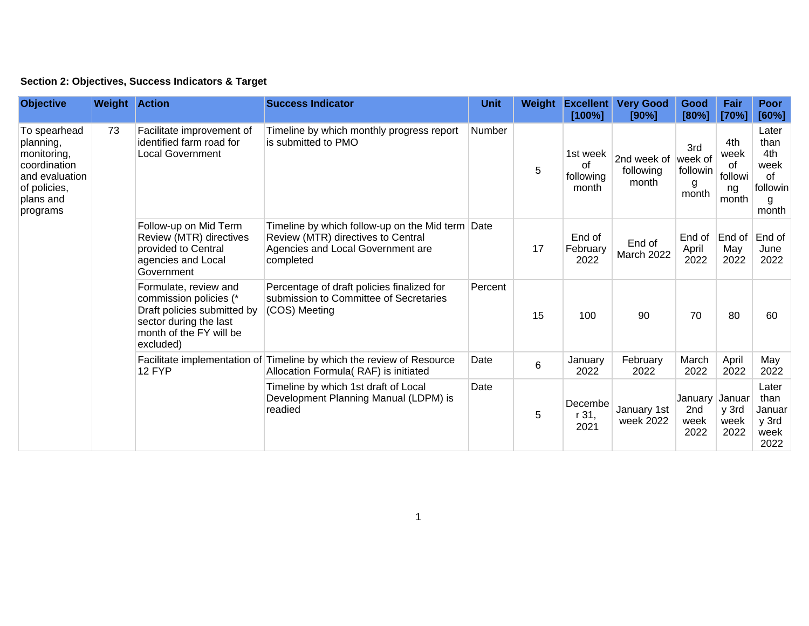|  | Section 2: Objectives, Success Indicators & Target |  |  |  |  |
|--|----------------------------------------------------|--|--|--|--|
|--|----------------------------------------------------|--|--|--|--|

| <b>Objective</b>                                                                                                    | <b>Weight Action</b> |                                                                                                                                                  | <b>Success Indicator</b>                                                                                                                 | <b>Unit</b>                                                                              | Weight         | <b>Excellent</b><br>[100%]           | <b>Very Good</b><br>[90%]         | Good<br>[80%]                            | Fair<br>[70%]                               | Poor<br>[60%]                                                |
|---------------------------------------------------------------------------------------------------------------------|----------------------|--------------------------------------------------------------------------------------------------------------------------------------------------|------------------------------------------------------------------------------------------------------------------------------------------|------------------------------------------------------------------------------------------|----------------|--------------------------------------|-----------------------------------|------------------------------------------|---------------------------------------------|--------------------------------------------------------------|
| To spearhead<br>planning,<br>monitoring,<br>coordination<br>and evaluation<br>of policies,<br>plans and<br>programs | 73                   | Facilitate improvement of<br>identified farm road for<br><b>Local Government</b>                                                                 | Timeline by which monthly progress report<br>is submitted to PMO                                                                         | Number                                                                                   | 5              | 1st week<br>οf<br>following<br>month | 2nd week of<br>following<br>month | 3rd<br>week of<br>followin<br>g<br>month | 4th<br>week<br>of<br>followi<br>ng<br>month | Later<br>than<br>4th<br>week<br>0f<br>followin<br>g<br>month |
|                                                                                                                     |                      | Follow-up on Mid Term<br>Review (MTR) directives<br>provided to Central<br>agencies and Local<br>Government                                      | Timeline by which follow-up on the Mid term Date<br>Review (MTR) directives to Central<br>Agencies and Local Government are<br>completed |                                                                                          | 17             | End of<br>February<br>2022           | End of<br>March 2022              | End of<br>April<br>2022                  | End of End of<br>May<br>2022                | June<br>2022                                                 |
|                                                                                                                     |                      | Formulate, review and<br>commission policies (*<br>Draft policies submitted by<br>sector during the last<br>month of the FY will be<br>excluded) | Percentage of draft policies finalized for<br>submission to Committee of Secretaries<br>(COS) Meeting                                    | Percent                                                                                  | 15             | 100                                  | 90                                | 70                                       | 80                                          | 60                                                           |
|                                                                                                                     |                      | 12 FYP                                                                                                                                           | Facilitate implementation of Timeline by which the review of Resource<br>Allocation Formula(RAF) is initiated                            | Date                                                                                     | $6\phantom{1}$ | January<br>2022                      | February<br>2022                  | March<br>2022                            | April<br>2022                               | May<br>2022                                                  |
|                                                                                                                     |                      |                                                                                                                                                  |                                                                                                                                          | Timeline by which 1st draft of Local<br>Development Planning Manual (LDPM) is<br>readied | Date           | 5                                    | Decembe<br>r 31,<br>2021          | January 1st<br>week 2022                 | January Januar<br>2nd<br>week<br>2022       | y 3rd<br>week<br>2022                                        |